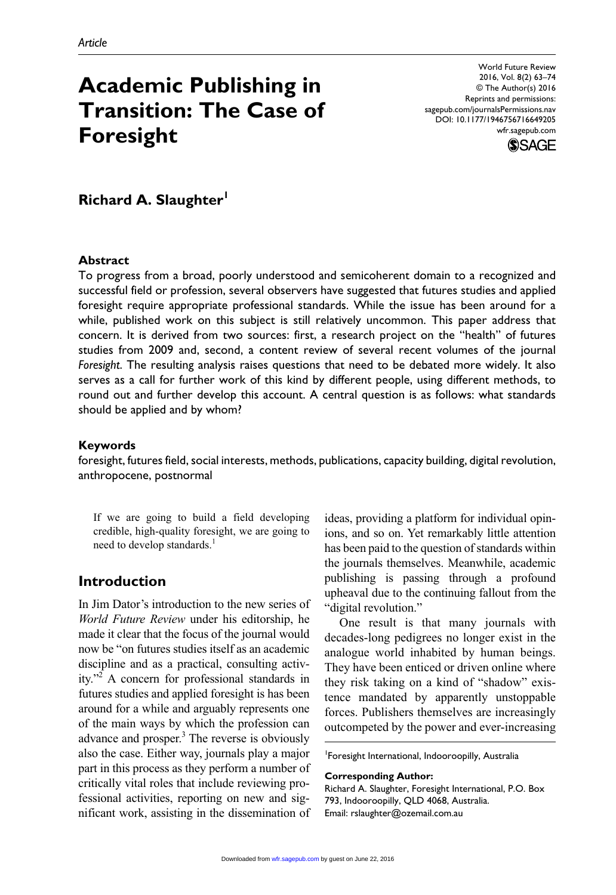# **Academic Publishing in Transition: The Case of Foresight**

World Future Review 2016, Vol. 8(2) 63–74 © The Author(s) 2016 Reprints and permissions: sagepub.com/journalsPermissions.nav DOI: 10.1177/1946756716649205 wfr.sagepub.com



**Richard A. Slaughter'** 

#### **Abstract**

To progress from a broad, poorly understood and semicoherent domain to a recognized and successful field or profession, several observers have suggested that futures studies and applied foresight require appropriate professional standards. While the issue has been around for a while, published work on this subject is still relatively uncommon. This paper address that concern. It is derived from two sources: first, a research project on the "health" of futures studies from 2009 and, second, a content review of several recent volumes of the journal *Foresight*. The resulting analysis raises questions that need to be debated more widely. It also serves as a call for further work of this kind by different people, using different methods, to round out and further develop this account. A central question is as follows: what standards should be applied and by whom?

### **Keywords**

foresight, futures field, social interests, methods, publications, capacity building, digital revolution, anthropocene, postnormal

If we are going to build a field developing credible, high-quality foresight, we are going to need to develop standards.<sup>1</sup>

# **Introduction**

In Jim Dator's introduction to the new series of *World Future Review* under his editorship, he made it clear that the focus of the journal would now be "on futures studies itself as an academic discipline and as a practical, consulting activity."2 A concern for professional standards in futures studies and applied foresight is has been around for a while and arguably represents one of the main ways by which the profession can advance and prosper. $3$  The reverse is obviously also the case. Either way, journals play a major part in this process as they perform a number of critically vital roles that include reviewing professional activities, reporting on new and significant work, assisting in the dissemination of

ideas, providing a platform for individual opinions, and so on. Yet remarkably little attention has been paid to the question of standards within the journals themselves. Meanwhile, academic publishing is passing through a profound upheaval due to the continuing fallout from the "digital revolution."

One result is that many journals with decades-long pedigrees no longer exist in the analogue world inhabited by human beings. They have been enticed or driven online where they risk taking on a kind of "shadow" existence mandated by apparently unstoppable forces. Publishers themselves are increasingly outcompeted by the power and ever-increasing

1 Foresight International, Indooroopilly, Australia

#### **Corresponding Author:**

Richard A. Slaughter, Foresight International, P.O. Box 793, Indooroopilly, QLD 4068, Australia. Email: [rslaughter@ozemail.com.au](mailto:rslaughter@ozemail.com.au)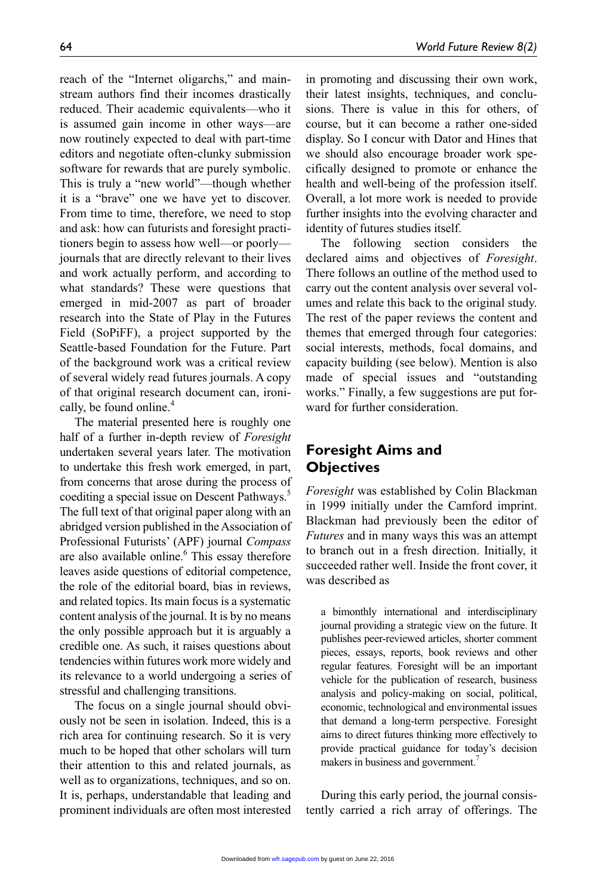reach of the "Internet oligarchs," and mainstream authors find their incomes drastically reduced. Their academic equivalents—who it is assumed gain income in other ways—are now routinely expected to deal with part-time editors and negotiate often-clunky submission software for rewards that are purely symbolic. This is truly a "new world"—though whether it is a "brave" one we have yet to discover. From time to time, therefore, we need to stop and ask: how can futurists and foresight practitioners begin to assess how well—or poorly journals that are directly relevant to their lives and work actually perform, and according to what standards? These were questions that emerged in mid-2007 as part of broader research into the State of Play in the Futures Field (SoPiFF), a project supported by the Seattle-based Foundation for the Future. Part of the background work was a critical review of several widely read futures journals. A copy of that original research document can, ironically, be found online.<sup>4</sup>

The material presented here is roughly one half of a further in-depth review of *Foresight* undertaken several years later. The motivation to undertake this fresh work emerged, in part, from concerns that arose during the process of coediting a special issue on Descent Pathways.<sup>5</sup> The full text of that original paper along with an abridged version published in the Association of Professional Futurists' (APF) journal *Compass* are also available online.<sup>6</sup> This essay therefore leaves aside questions of editorial competence, the role of the editorial board, bias in reviews, and related topics. Its main focus is a systematic content analysis of the journal. It is by no means the only possible approach but it is arguably a credible one. As such, it raises questions about tendencies within futures work more widely and its relevance to a world undergoing a series of stressful and challenging transitions.

The focus on a single journal should obviously not be seen in isolation. Indeed, this is a rich area for continuing research. So it is very much to be hoped that other scholars will turn their attention to this and related journals, as well as to organizations, techniques, and so on. It is, perhaps, understandable that leading and prominent individuals are often most interested

in promoting and discussing their own work, their latest insights, techniques, and conclusions. There is value in this for others, of course, but it can become a rather one-sided display. So I concur with Dator and Hines that we should also encourage broader work specifically designed to promote or enhance the health and well-being of the profession itself. Overall, a lot more work is needed to provide further insights into the evolving character and identity of futures studies itself.

The following section considers the declared aims and objectives of *Foresight*. There follows an outline of the method used to carry out the content analysis over several volumes and relate this back to the original study. The rest of the paper reviews the content and themes that emerged through four categories: social interests, methods, focal domains, and capacity building (see below). Mention is also made of special issues and "outstanding works." Finally, a few suggestions are put forward for further consideration.

# **Foresight Aims and Objectives**

*Foresight* was established by Colin Blackman in 1999 initially under the Camford imprint. Blackman had previously been the editor of *Futures* and in many ways this was an attempt to branch out in a fresh direction. Initially, it succeeded rather well. Inside the front cover, it was described as

a bimonthly international and interdisciplinary journal providing a strategic view on the future. It publishes peer-reviewed articles, shorter comment pieces, essays, reports, book reviews and other regular features. Foresight will be an important vehicle for the publication of research, business analysis and policy-making on social, political, economic, technological and environmental issues that demand a long-term perspective. Foresight aims to direct futures thinking more effectively to provide practical guidance for today's decision makers in business and government.<sup>7</sup>

During this early period, the journal consistently carried a rich array of offerings. The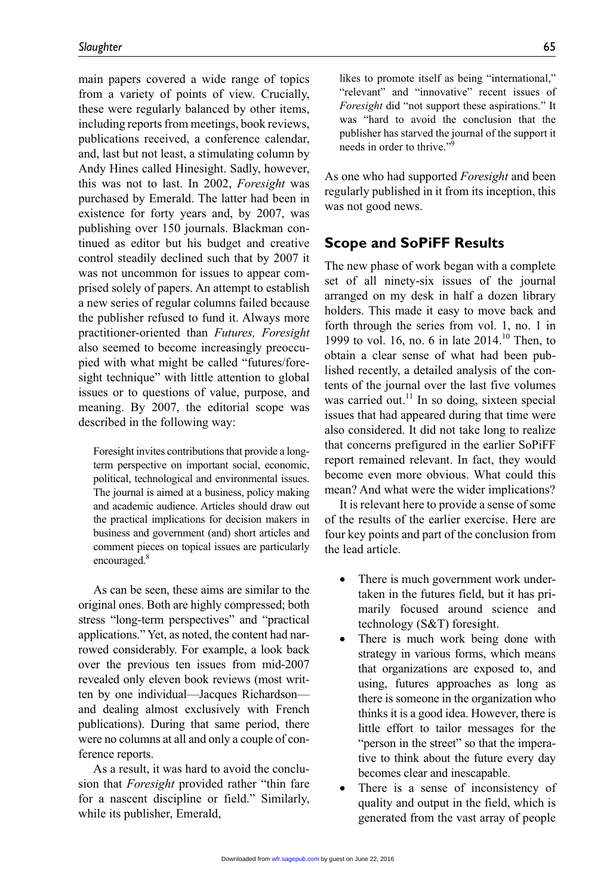main papers covered a wide range of topics from a variety of points of view. Crucially, these were regularly balanced by other items, including reports from meetings, book reviews, publications received, a conference calendar, and, last but not least, a stimulating column by Andy Hines called Hinesight. Sadly, however, this was not to last. In 2002, *Foresight* was purchased by Emerald. The latter had been in existence for forty years and, by 2007, was publishing over 150 journals. Blackman continued as editor but his budget and creative control steadily declined such that by 2007 it was not uncommon for issues to appear comprised solely of papers. An attempt to establish a new series of regular columns failed because the publisher refused to fund it. Always more practitioner-oriented than *Futures, Foresight* also seemed to become increasingly preoccupied with what might be called "futures/foresight technique" with little attention to global issues or to questions of value, purpose, and meaning. By 2007, the editorial scope was described in the following way:

Foresight invites contributions that provide a longterm perspective on important social, economic, political, technological and environmental issues. The journal is aimed at a business, policy making and academic audience. Articles should draw out the practical implications for decision makers in business and government (and) short articles and comment pieces on topical issues are particularly encouraged.<sup>8</sup>

As can be seen, these aims are similar to the original ones. Both are highly compressed; both stress "long-term perspectives" and "practical applications." Yet, as noted, the content had narrowed considerably. For example, a look back over the previous ten issues from mid-2007 revealed only eleven book reviews (most written by one individual—Jacques Richardson and dealing almost exclusively with French publications). During that same period, there were no columns at all and only a couple of conference reports.

As a result, it was hard to avoid the conclusion that *Foresight* provided rather "thin fare for a nascent discipline or field." Similarly, while its publisher, Emerald,

likes to promote itself as being "international," "relevant" and "innovative" recent issues of *Foresight* did "not support these aspirations." It was "hard to avoid the conclusion that the publisher has starved the journal of the support it needs in order to thrive."9

As one who had supported *Foresight* and been regularly published in it from its inception, this was not good news.

### **Scope and SoPiFF Results**

The new phase of work began with a complete set of all ninety-six issues of the journal arranged on my desk in half a dozen library holders. This made it easy to move back and forth through the series from vol. 1, no. 1 in 1999 to vol. 16, no. 6 in late  $2014.^{10}$  Then, to obtain a clear sense of what had been published recently, a detailed analysis of the contents of the journal over the last five volumes was carried out.<sup>11</sup> In so doing, sixteen special issues that had appeared during that time were also considered. It did not take long to realize that concerns prefigured in the earlier SoPiFF report remained relevant. In fact, they would become even more obvious. What could this mean? And what were the wider implications?

It is relevant here to provide a sense of some of the results of the earlier exercise. Here are four key points and part of the conclusion from the lead article.

- There is much government work undertaken in the futures field, but it has primarily focused around science and technology (S&T) foresight.
- There is much work being done with strategy in various forms, which means that organizations are exposed to, and using, futures approaches as long as there is someone in the organization who thinks it is a good idea. However, there is little effort to tailor messages for the "person in the street" so that the imperative to think about the future every day becomes clear and inescapable.
- There is a sense of inconsistency of quality and output in the field, which is generated from the vast array of people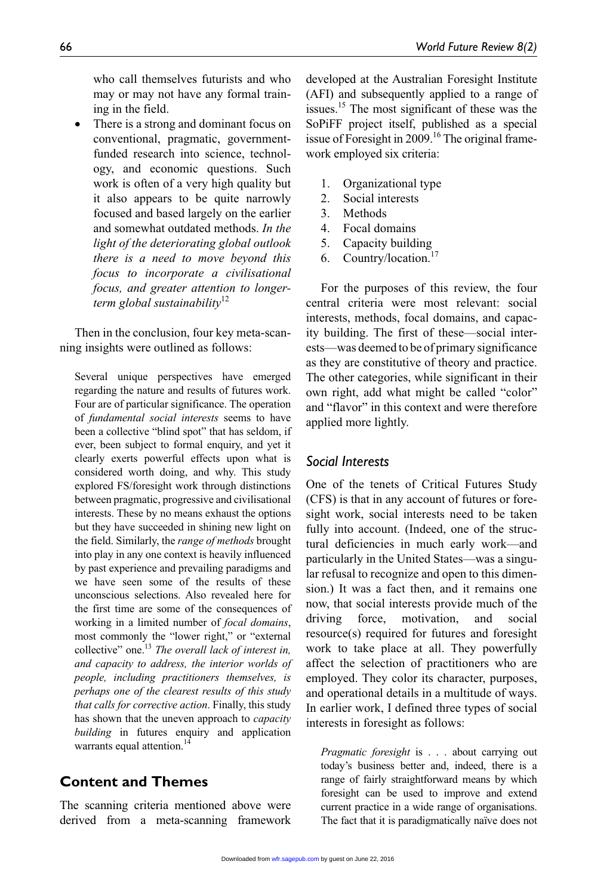who call themselves futurists and who may or may not have any formal training in the field.

There is a strong and dominant focus on conventional, pragmatic, governmentfunded research into science, technology, and economic questions. Such work is often of a very high quality but it also appears to be quite narrowly focused and based largely on the earlier and somewhat outdated methods. *In the light of the deteriorating global outlook there is a need to move beyond this focus to incorporate a civilisational focus, and greater attention to longerterm global sustainability*<sup>12</sup>

Then in the conclusion, four key meta-scanning insights were outlined as follows:

Several unique perspectives have emerged regarding the nature and results of futures work. Four are of particular significance. The operation of *fundamental social interests* seems to have been a collective "blind spot" that has seldom, if ever, been subject to formal enquiry, and yet it clearly exerts powerful effects upon what is considered worth doing, and why. This study explored FS/foresight work through distinctions between pragmatic, progressive and civilisational interests. These by no means exhaust the options but they have succeeded in shining new light on the field. Similarly, the *range of methods* brought into play in any one context is heavily influenced by past experience and prevailing paradigms and we have seen some of the results of these unconscious selections. Also revealed here for the first time are some of the consequences of working in a limited number of *focal domains*, most commonly the "lower right," or "external collective" one.13 *The overall lack of interest in, and capacity to address, the interior worlds of people, including practitioners themselves, is perhaps one of the clearest results of this study that calls for corrective action*. Finally, this study has shown that the uneven approach to *capacity building* in futures enquiry and application warrants equal attention.<sup>14</sup>

# **Content and Themes**

The scanning criteria mentioned above were derived from a meta-scanning framework developed at the Australian Foresight Institute (AFI) and subsequently applied to a range of issues.<sup>15</sup> The most significant of these was the SoPiFF project itself, published as a special issue of Foresight in 2009.<sup>16</sup> The original framework employed six criteria:

- 1. Organizational type
- 2. Social interests
- 3. Methods
- 4. Focal domains
- 5. Capacity building
- 6. Country/location.<sup>17</sup>

For the purposes of this review, the four central criteria were most relevant: social interests, methods, focal domains, and capacity building. The first of these—social interests—was deemed to be of primary significance as they are constitutive of theory and practice. The other categories, while significant in their own right, add what might be called "color" and "flavor" in this context and were therefore applied more lightly.

# *Social Interests*

One of the tenets of Critical Futures Study (CFS) is that in any account of futures or foresight work, social interests need to be taken fully into account. (Indeed, one of the structural deficiencies in much early work—and particularly in the United States—was a singular refusal to recognize and open to this dimension.) It was a fact then, and it remains one now, that social interests provide much of the driving force, motivation, and social resource(s) required for futures and foresight work to take place at all. They powerfully affect the selection of practitioners who are employed. They color its character, purposes, and operational details in a multitude of ways. In earlier work, I defined three types of social interests in foresight as follows:

*Pragmatic foresight* is . . . about carrying out today's business better and, indeed, there is a range of fairly straightforward means by which foresight can be used to improve and extend current practice in a wide range of organisations. The fact that it is paradigmatically naïve does not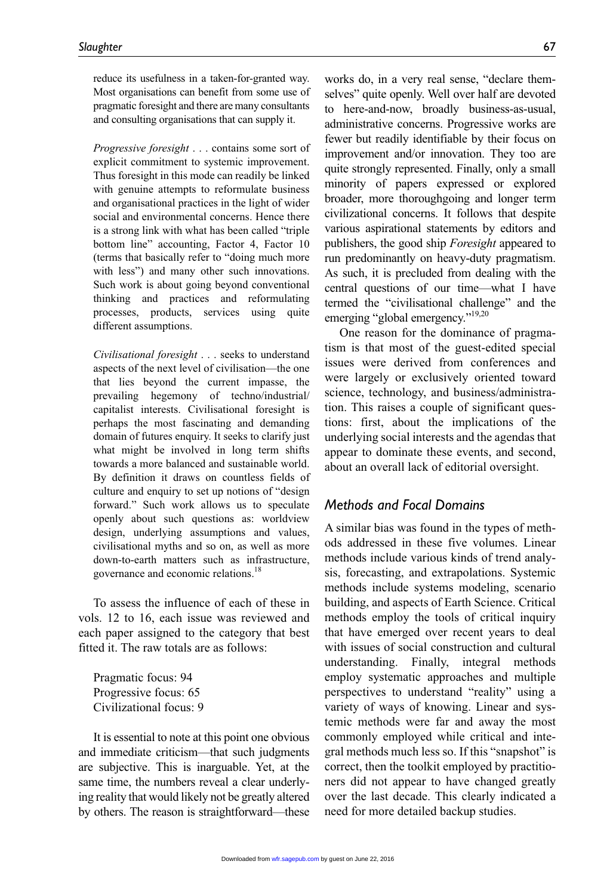reduce its usefulness in a taken-for-granted way. Most organisations can benefit from some use of pragmatic foresight and there are many consultants and consulting organisations that can supply it.

*Progressive foresight* . . . contains some sort of explicit commitment to systemic improvement. Thus foresight in this mode can readily be linked with genuine attempts to reformulate business and organisational practices in the light of wider social and environmental concerns. Hence there is a strong link with what has been called "triple bottom line" accounting, Factor 4, Factor 10 (terms that basically refer to "doing much more with less") and many other such innovations. Such work is about going beyond conventional thinking and practices and reformulating processes, products, services using quite different assumptions.

*Civilisational foresight* . . . seeks to understand aspects of the next level of civilisation—the one that lies beyond the current impasse, the prevailing hegemony of techno/industrial/ capitalist interests. Civilisational foresight is perhaps the most fascinating and demanding domain of futures enquiry. It seeks to clarify just what might be involved in long term shifts towards a more balanced and sustainable world. By definition it draws on countless fields of culture and enquiry to set up notions of "design forward." Such work allows us to speculate openly about such questions as: worldview design, underlying assumptions and values, civilisational myths and so on, as well as more down-to-earth matters such as infrastructure, governance and economic relations.<sup>18</sup>

To assess the influence of each of these in vols. 12 to 16, each issue was reviewed and each paper assigned to the category that best fitted it. The raw totals are as follows:

Pragmatic focus: 94 Progressive focus: 65 Civilizational focus: 9

It is essential to note at this point one obvious and immediate criticism—that such judgments are subjective. This is inarguable. Yet, at the same time, the numbers reveal a clear underlying reality that would likely not be greatly altered by others. The reason is straightforward—these

works do, in a very real sense, "declare themselves" quite openly. Well over half are devoted to here-and-now, broadly business-as-usual, administrative concerns. Progressive works are fewer but readily identifiable by their focus on improvement and/or innovation. They too are quite strongly represented. Finally, only a small minority of papers expressed or explored broader, more thoroughgoing and longer term civilizational concerns. It follows that despite various aspirational statements by editors and publishers, the good ship *Foresight* appeared to run predominantly on heavy-duty pragmatism. As such, it is precluded from dealing with the central questions of our time—what I have termed the "civilisational challenge" and the emerging "global emergency."<sup>19,20</sup>

One reason for the dominance of pragmatism is that most of the guest-edited special issues were derived from conferences and were largely or exclusively oriented toward science, technology, and business/administration. This raises a couple of significant questions: first, about the implications of the underlying social interests and the agendas that appear to dominate these events, and second, about an overall lack of editorial oversight.

### *Methods and Focal Domains*

A similar bias was found in the types of methods addressed in these five volumes. Linear methods include various kinds of trend analysis, forecasting, and extrapolations. Systemic methods include systems modeling, scenario building, and aspects of Earth Science. Critical methods employ the tools of critical inquiry that have emerged over recent years to deal with issues of social construction and cultural understanding. Finally, integral methods employ systematic approaches and multiple perspectives to understand "reality" using a variety of ways of knowing. Linear and systemic methods were far and away the most commonly employed while critical and integral methods much less so. If this "snapshot" is correct, then the toolkit employed by practitioners did not appear to have changed greatly over the last decade. This clearly indicated a need for more detailed backup studies.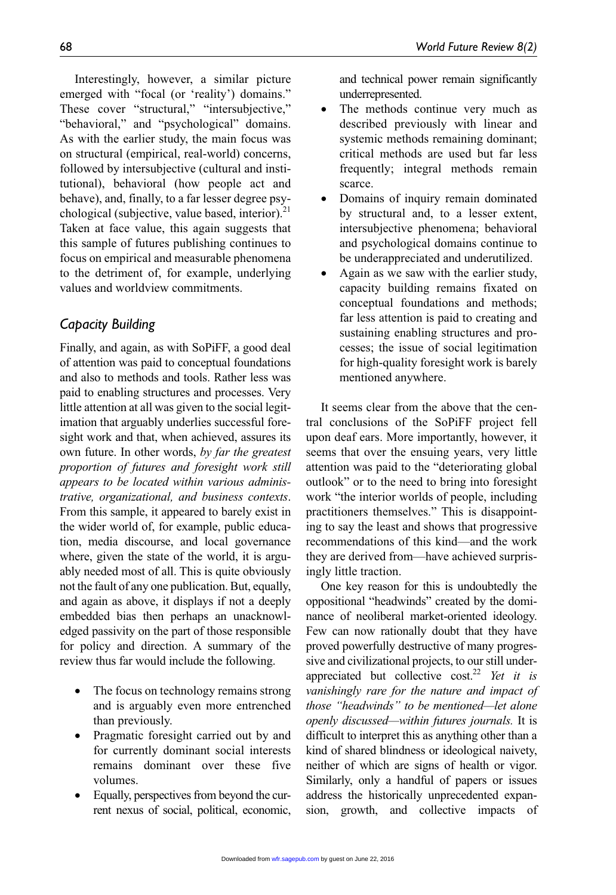Interestingly, however, a similar picture emerged with "focal (or 'reality') domains." These cover "structural," "intersubjective," "behavioral," and "psychological" domains. As with the earlier study, the main focus was on structural (empirical, real-world) concerns, followed by intersubjective (cultural and institutional), behavioral (how people act and behave), and, finally, to a far lesser degree psychological (subjective, value based, interior). $^{21}$ Taken at face value, this again suggests that this sample of futures publishing continues to focus on empirical and measurable phenomena to the detriment of, for example, underlying values and worldview commitments.

# *Capacity Building*

Finally, and again, as with SoPiFF, a good deal of attention was paid to conceptual foundations and also to methods and tools. Rather less was paid to enabling structures and processes. Very little attention at all was given to the social legitimation that arguably underlies successful foresight work and that, when achieved, assures its own future. In other words, *by far the greatest proportion of futures and foresight work still appears to be located within various administrative, organizational, and business contexts*. From this sample, it appeared to barely exist in the wider world of, for example, public education, media discourse, and local governance where, given the state of the world, it is arguably needed most of all. This is quite obviously not the fault of any one publication. But, equally, and again as above, it displays if not a deeply embedded bias then perhaps an unacknowledged passivity on the part of those responsible for policy and direction. A summary of the review thus far would include the following.

- The focus on technology remains strong and is arguably even more entrenched than previously.
- Pragmatic foresight carried out by and for currently dominant social interests remains dominant over these five volumes.
- Equally, perspectives from beyond the current nexus of social, political, economic,

and technical power remain significantly underrepresented.

- The methods continue very much as described previously with linear and systemic methods remaining dominant; critical methods are used but far less frequently; integral methods remain scarce.
- Domains of inquiry remain dominated by structural and, to a lesser extent, intersubjective phenomena; behavioral and psychological domains continue to be underappreciated and underutilized.
- Again as we saw with the earlier study, capacity building remains fixated on conceptual foundations and methods; far less attention is paid to creating and sustaining enabling structures and processes; the issue of social legitimation for high-quality foresight work is barely mentioned anywhere.

It seems clear from the above that the central conclusions of the SoPiFF project fell upon deaf ears. More importantly, however, it seems that over the ensuing years, very little attention was paid to the "deteriorating global outlook" or to the need to bring into foresight work "the interior worlds of people, including practitioners themselves." This is disappointing to say the least and shows that progressive recommendations of this kind—and the work they are derived from—have achieved surprisingly little traction.

One key reason for this is undoubtedly the oppositional "headwinds" created by the dominance of neoliberal market-oriented ideology. Few can now rationally doubt that they have proved powerfully destructive of many progressive and civilizational projects, to our still underappreciated but collective cost.<sup>22</sup> *Yet it is vanishingly rare for the nature and impact of those "headwinds" to be mentioned—let alone openly discussed—within futures journals.* It is difficult to interpret this as anything other than a kind of shared blindness or ideological naivety, neither of which are signs of health or vigor. Similarly, only a handful of papers or issues address the historically unprecedented expansion, growth, and collective impacts of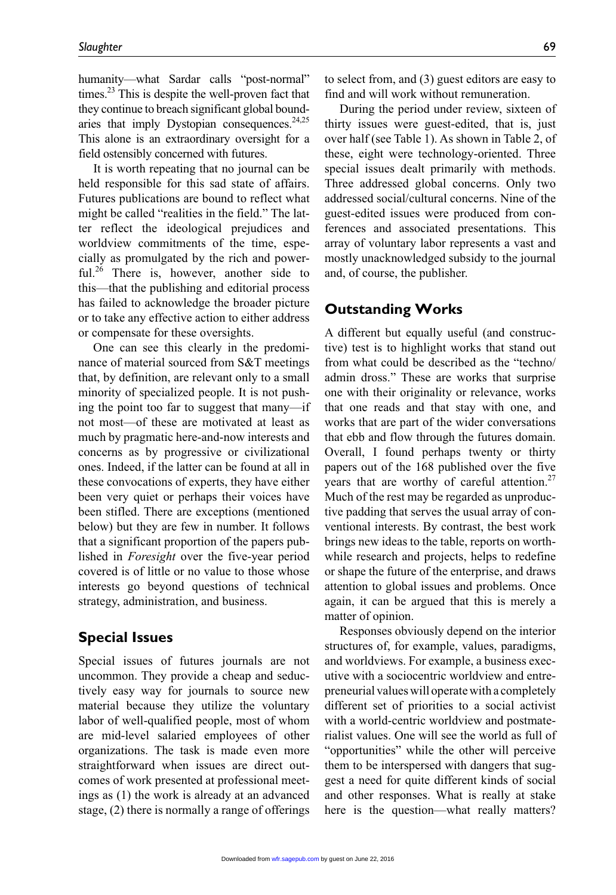humanity—what Sardar calls "post-normal" times.<sup>23</sup> This is despite the well-proven fact that they continue to breach significant global boundaries that imply Dystopian consequences.<sup>24,25</sup> This alone is an extraordinary oversight for a field ostensibly concerned with futures.

It is worth repeating that no journal can be held responsible for this sad state of affairs. Futures publications are bound to reflect what might be called "realities in the field." The latter reflect the ideological prejudices and worldview commitments of the time, especially as promulgated by the rich and powerful.<sup>26</sup> There is, however, another side to this—that the publishing and editorial process has failed to acknowledge the broader picture or to take any effective action to either address or compensate for these oversights.

One can see this clearly in the predominance of material sourced from S&T meetings that, by definition, are relevant only to a small minority of specialized people. It is not pushing the point too far to suggest that many—if not most—of these are motivated at least as much by pragmatic here-and-now interests and concerns as by progressive or civilizational ones. Indeed, if the latter can be found at all in these convocations of experts, they have either been very quiet or perhaps their voices have been stifled. There are exceptions (mentioned below) but they are few in number. It follows that a significant proportion of the papers published in *Foresight* over the five-year period covered is of little or no value to those whose interests go beyond questions of technical strategy, administration, and business.

# **Special Issues**

Special issues of futures journals are not uncommon. They provide a cheap and seductively easy way for journals to source new material because they utilize the voluntary labor of well-qualified people, most of whom are mid-level salaried employees of other organizations. The task is made even more straightforward when issues are direct outcomes of work presented at professional meetings as (1) the work is already at an advanced stage, (2) there is normally a range of offerings to select from, and (3) guest editors are easy to find and will work without remuneration.

During the period under review, sixteen of thirty issues were guest-edited, that is, just over half (see Table 1). As shown in Table 2, of these, eight were technology-oriented. Three special issues dealt primarily with methods. Three addressed global concerns. Only two addressed social/cultural concerns. Nine of the guest-edited issues were produced from conferences and associated presentations. This array of voluntary labor represents a vast and mostly unacknowledged subsidy to the journal and, of course, the publisher.

### **Outstanding Works**

A different but equally useful (and constructive) test is to highlight works that stand out from what could be described as the "techno/ admin dross." These are works that surprise one with their originality or relevance, works that one reads and that stay with one, and works that are part of the wider conversations that ebb and flow through the futures domain. Overall, I found perhaps twenty or thirty papers out of the 168 published over the five years that are worthy of careful attention.<sup>27</sup> Much of the rest may be regarded as unproductive padding that serves the usual array of conventional interests. By contrast, the best work brings new ideas to the table, reports on worthwhile research and projects, helps to redefine or shape the future of the enterprise, and draws attention to global issues and problems. Once again, it can be argued that this is merely a matter of opinion.

Responses obviously depend on the interior structures of, for example, values, paradigms, and worldviews. For example, a business executive with a sociocentric worldview and entrepreneurial values will operate with a completely different set of priorities to a social activist with a world-centric worldview and postmaterialist values. One will see the world as full of "opportunities" while the other will perceive them to be interspersed with dangers that suggest a need for quite different kinds of social and other responses. What is really at stake here is the question—what really matters?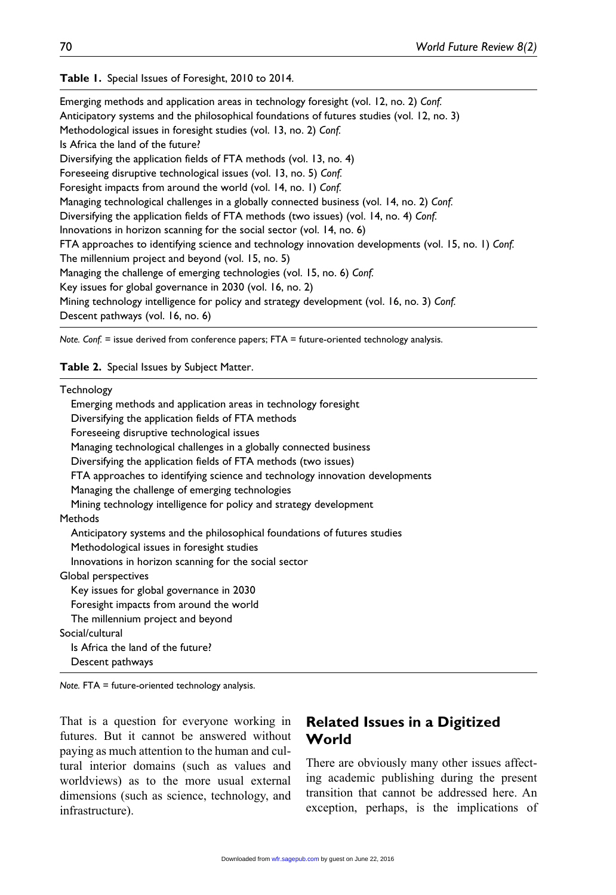#### **Table 1.** Special Issues of Foresight, 2010 to 2014.

| Emerging methods and application areas in technology foresight (vol. 12, no. 2) Conf.               |
|-----------------------------------------------------------------------------------------------------|
| Anticipatory systems and the philosophical foundations of futures studies (vol. 12, no. 3)          |
| Methodological issues in foresight studies (vol. 13, no. 2) Conf.                                   |
| Is Africa the land of the future?                                                                   |
| Diversifying the application fields of FTA methods (vol. 13, no. 4)                                 |
| Foreseeing disruptive technological issues (vol. 13, no. 5) Conf.                                   |
| Foresight impacts from around the world (vol. 14, no. 1) Conf.                                      |
| Managing technological challenges in a globally connected business (vol. 14, no. 2) Conf.           |
| Diversifying the application fields of FTA methods (two issues) (vol. 14, no. 4) Conf.              |
| Innovations in horizon scanning for the social sector (vol. 14, no. 6)                              |
| FTA approaches to identifying science and technology innovation developments (vol. 15, no. 1) Conf. |
| The millennium project and beyond (vol. 15, no. 5)                                                  |
| Managing the challenge of emerging technologies (vol. 15, no. 6) Conf.                              |
| Key issues for global governance in 2030 (vol. 16, no. 2)                                           |
| Mining technology intelligence for policy and strategy development (vol. 16, no. 3) Conf.           |
| Descent pathways (vol. 16, no. 6)                                                                   |

*Note. Conf.* = issue derived from conference papers; FTA = future-oriented technology analysis.

#### **Table 2.** Special Issues by Subject Matter.

#### Technology

| Emerging methods and application areas in technology foresight               |
|------------------------------------------------------------------------------|
| Diversifying the application fields of FTA methods                           |
| Foreseeing disruptive technological issues                                   |
| Managing technological challenges in a globally connected business           |
| Diversifying the application fields of FTA methods (two issues)              |
| FTA approaches to identifying science and technology innovation developments |
| Managing the challenge of emerging technologies                              |
| Mining technology intelligence for policy and strategy development           |
| Methods                                                                      |
| Anticipatory systems and the philosophical foundations of futures studies    |
| Methodological issues in foresight studies                                   |
| Innovations in horizon scanning for the social sector                        |
| Global perspectives                                                          |
| Key issues for global governance in 2030                                     |
| Foresight impacts from around the world                                      |
| The millennium project and beyond                                            |
| Social/cultural                                                              |
| Is Africa the land of the future?                                            |
| Descent pathways                                                             |
|                                                                              |

*Note.* FTA = future-oriented technology analysis.

That is a question for everyone working in futures. But it cannot be answered without paying as much attention to the human and cultural interior domains (such as values and worldviews) as to the more usual external dimensions (such as science, technology, and infrastructure).

# **Related Issues in a Digitized World**

There are obviously many other issues affecting academic publishing during the present transition that cannot be addressed here. An exception, perhaps, is the implications of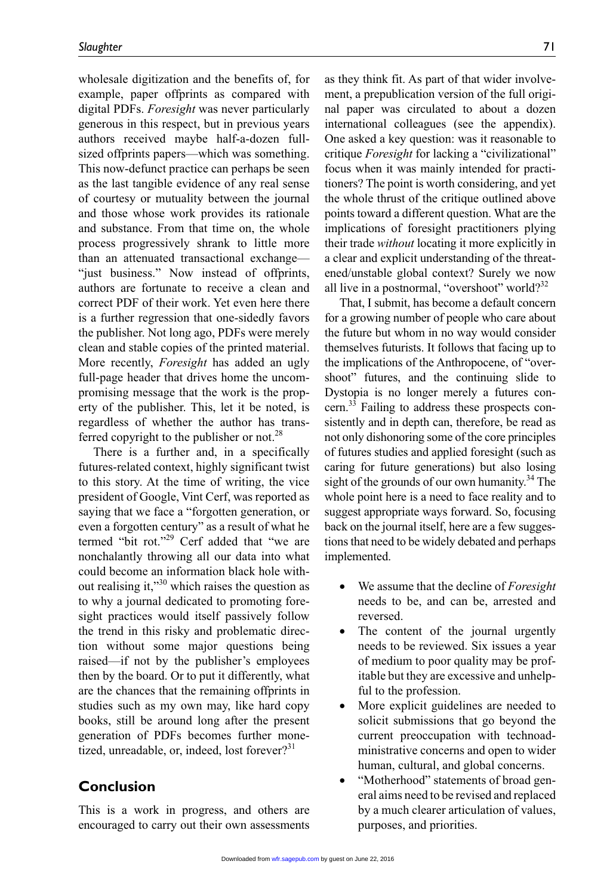wholesale digitization and the benefits of, for example, paper offprints as compared with digital PDFs. *Foresight* was never particularly generous in this respect, but in previous years authors received maybe half-a-dozen fullsized offprints papers—which was something. This now-defunct practice can perhaps be seen as the last tangible evidence of any real sense of courtesy or mutuality between the journal and those whose work provides its rationale and substance. From that time on, the whole process progressively shrank to little more than an attenuated transactional exchange— "just business." Now instead of offprints, authors are fortunate to receive a clean and correct PDF of their work. Yet even here there is a further regression that one-sidedly favors the publisher. Not long ago, PDFs were merely clean and stable copies of the printed material. More recently, *Foresight* has added an ugly full-page header that drives home the uncompromising message that the work is the property of the publisher. This, let it be noted, is regardless of whether the author has transferred copyright to the publisher or not.<sup>28</sup>

There is a further and, in a specifically futures-related context, highly significant twist to this story. At the time of writing, the vice president of Google, Vint Cerf, was reported as saying that we face a "forgotten generation, or even a forgotten century" as a result of what he termed "bit rot."<sup>29</sup> Cerf added that "we are nonchalantly throwing all our data into what could become an information black hole without realising it,"<sup>30</sup> which raises the question as to why a journal dedicated to promoting foresight practices would itself passively follow the trend in this risky and problematic direction without some major questions being raised—if not by the publisher's employees then by the board. Or to put it differently, what are the chances that the remaining offprints in studies such as my own may, like hard copy books, still be around long after the present generation of PDFs becomes further monetized, unreadable, or, indeed, lost forever? $31$ 

# **Conclusion**

This is a work in progress, and others are encouraged to carry out their own assessments as they think fit. As part of that wider involvement, a prepublication version of the full original paper was circulated to about a dozen international colleagues (see the appendix). One asked a key question: was it reasonable to critique *Foresight* for lacking a "civilizational" focus when it was mainly intended for practitioners? The point is worth considering, and yet the whole thrust of the critique outlined above points toward a different question. What are the implications of foresight practitioners plying their trade *without* locating it more explicitly in a clear and explicit understanding of the threatened/unstable global context? Surely we now all live in a postnormal, "overshoot" world? $3^{32}$ 

That, I submit, has become a default concern for a growing number of people who care about the future but whom in no way would consider themselves futurists. It follows that facing up to the implications of the Anthropocene, of "overshoot" futures, and the continuing slide to Dystopia is no longer merely a futures concern.<sup>33</sup> Failing to address these prospects consistently and in depth can, therefore, be read as not only dishonoring some of the core principles of futures studies and applied foresight (such as caring for future generations) but also losing sight of the grounds of our own humanity.<sup>34</sup> The whole point here is a need to face reality and to suggest appropriate ways forward. So, focusing back on the journal itself, here are a few suggestions that need to be widely debated and perhaps implemented.

- •• We assume that the decline of *Foresight* needs to be, and can be, arrested and reversed.
- The content of the journal urgently needs to be reviewed. Six issues a year of medium to poor quality may be profitable but they are excessive and unhelpful to the profession.
- More explicit guidelines are needed to solicit submissions that go beyond the current preoccupation with technoadministrative concerns and open to wider human, cultural, and global concerns.
- "Motherhood" statements of broad general aims need to be revised and replaced by a much clearer articulation of values, purposes, and priorities.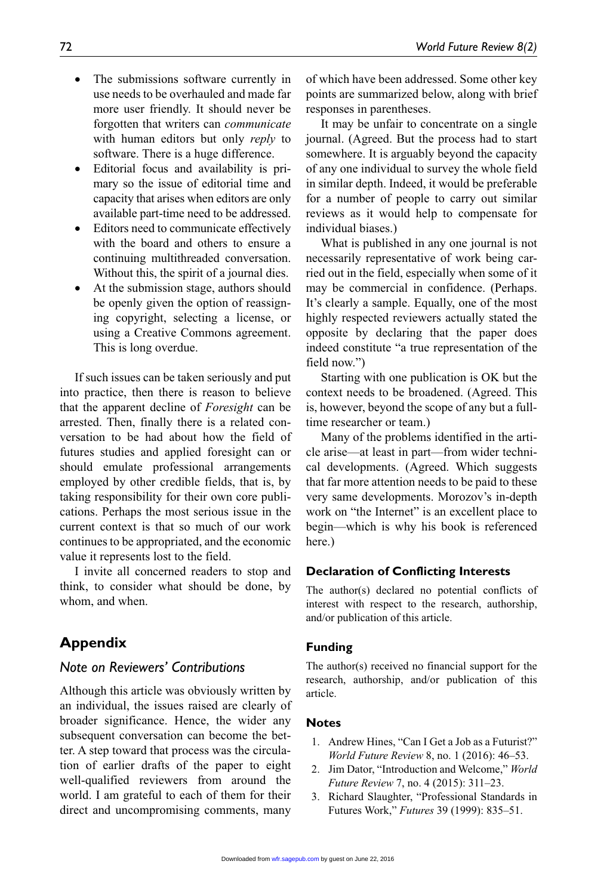- The submissions software currently in use needs to be overhauled and made far more user friendly. It should never be forgotten that writers can *communicate* with human editors but only *reply* to software. There is a huge difference.
- Editorial focus and availability is primary so the issue of editorial time and capacity that arises when editors are only available part-time need to be addressed.
- Editors need to communicate effectively with the board and others to ensure a continuing multithreaded conversation. Without this, the spirit of a journal dies.
- At the submission stage, authors should be openly given the option of reassigning copyright, selecting a license, or using a Creative Commons agreement. This is long overdue.

If such issues can be taken seriously and put into practice, then there is reason to believe that the apparent decline of *Foresight* can be arrested. Then, finally there is a related conversation to be had about how the field of futures studies and applied foresight can or should emulate professional arrangements employed by other credible fields, that is, by taking responsibility for their own core publications. Perhaps the most serious issue in the current context is that so much of our work continues to be appropriated, and the economic value it represents lost to the field.

I invite all concerned readers to stop and think, to consider what should be done, by whom, and when.

# **Appendix**

### *Note on Reviewers' Contributions*

Although this article was obviously written by an individual, the issues raised are clearly of broader significance. Hence, the wider any subsequent conversation can become the better. A step toward that process was the circulation of earlier drafts of the paper to eight well-qualified reviewers from around the world. I am grateful to each of them for their direct and uncompromising comments, many

of which have been addressed. Some other key points are summarized below, along with brief responses in parentheses.

It may be unfair to concentrate on a single journal. (Agreed. But the process had to start somewhere. It is arguably beyond the capacity of any one individual to survey the whole field in similar depth. Indeed, it would be preferable for a number of people to carry out similar reviews as it would help to compensate for individual biases.)

What is published in any one journal is not necessarily representative of work being carried out in the field, especially when some of it may be commercial in confidence. (Perhaps. It's clearly a sample. Equally, one of the most highly respected reviewers actually stated the opposite by declaring that the paper does indeed constitute "a true representation of the field now.")

Starting with one publication is OK but the context needs to be broadened. (Agreed. This is, however, beyond the scope of any but a fulltime researcher or team.)

Many of the problems identified in the article arise—at least in part—from wider technical developments. (Agreed. Which suggests that far more attention needs to be paid to these very same developments. Morozov's in-depth work on "the Internet" is an excellent place to begin—which is why his book is referenced here.)

#### **Declaration of Conflicting Interests**

The author(s) declared no potential conflicts of interest with respect to the research, authorship, and/or publication of this article.

#### **Funding**

The author(s) received no financial support for the research, authorship, and/or publication of this article.

#### **Notes**

- 1. Andrew Hines, "Can I Get a Job as a Futurist?" *World Future Review* 8, no. 1 (2016): 46–53.
- 2. Jim Dator, "Introduction and Welcome," *World Future Review* 7, no. 4 (2015): 311–23.
- 3. Richard Slaughter, "Professional Standards in Futures Work," *Futures* 39 (1999): 835–51.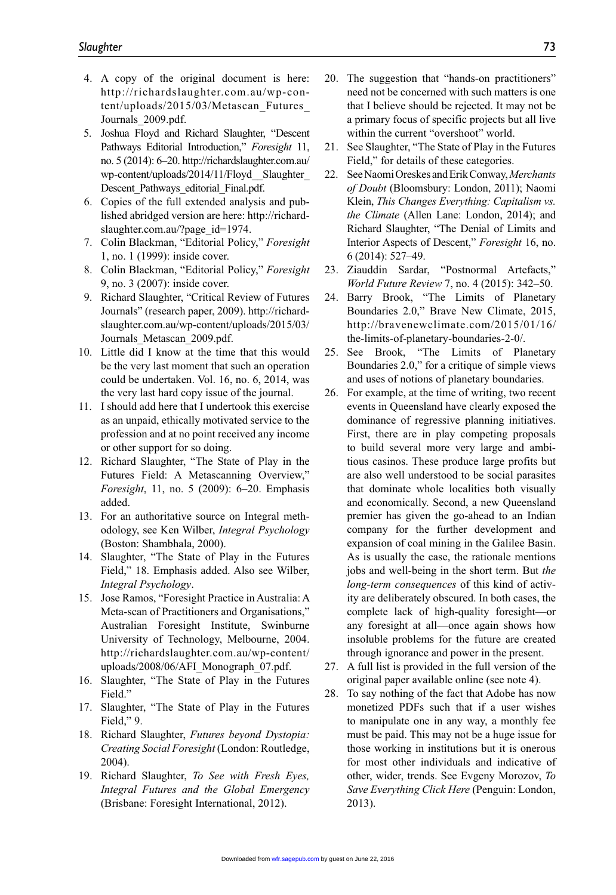- 4. A copy of the original document is here: [http://richardslaughter.com.au/wp-con](http://richardslaughter.com.au/wp-content/uploads/2015/03/Metascan_Futures_Journals_2009.pdf)[tent/uploads/2015/03/Metascan\\_Futures\\_](http://richardslaughter.com.au/wp-content/uploads/2015/03/Metascan_Futures_Journals_2009.pdf) [Journals\\_2009.pdf.](http://richardslaughter.com.au/wp-content/uploads/2015/03/Metascan_Futures_Journals_2009.pdf)
- 5. Joshua Floyd and Richard Slaughter, "Descent Pathways Editorial Introduction," *Foresight* 11, no. 5 (2014): 6–20. [http://richardslaughter.com.au/](http://richardslaughter.com.au/wp-content/uploads/2014/11/Floyd__Slaughter_Descent_Pathways_editorial_Final.pdf) [wp-content/uploads/2014/11/Floyd\\_\\_Slaughter\\_](http://richardslaughter.com.au/wp-content/uploads/2014/11/Floyd__Slaughter_Descent_Pathways_editorial_Final.pdf) [Descent\\_Pathways\\_editorial\\_Final.pdf](http://richardslaughter.com.au/wp-content/uploads/2014/11/Floyd__Slaughter_Descent_Pathways_editorial_Final.pdf).
- 6. Copies of the full extended analysis and published abridged version are here: [http://richard](http://richardslaughter.com.au/?page_id=1974)[slaughter.com.au/?page\\_id=1974](http://richardslaughter.com.au/?page_id=1974).
- 7. Colin Blackman, "Editorial Policy," *Foresight* 1, no. 1 (1999): inside cover.
- 8. Colin Blackman, "Editorial Policy," *Foresight* 9, no. 3 (2007): inside cover.
- 9. Richard Slaughter, "Critical Review of Futures Journals" (research paper, 2009). [http://richard](http://richardslaughter.com.au/wp-content/uploads/2015/03/Journals_Metascan_2009.pdf)[slaughter.com.au/wp-content/uploads/2015/03/](http://richardslaughter.com.au/wp-content/uploads/2015/03/Journals_Metascan_2009.pdf) [Journals\\_Metascan\\_2009.pdf.](http://richardslaughter.com.au/wp-content/uploads/2015/03/Journals_Metascan_2009.pdf)
- 10. Little did I know at the time that this would be the very last moment that such an operation could be undertaken. Vol. 16, no. 6, 2014, was the very last hard copy issue of the journal.
- 11. I should add here that I undertook this exercise as an unpaid, ethically motivated service to the profession and at no point received any income or other support for so doing.
- 12. Richard Slaughter, "The State of Play in the Futures Field: A Metascanning Overview," *Foresight*, 11, no. 5 (2009): 6–20. Emphasis added.
- 13. For an authoritative source on Integral methodology, see Ken Wilber, *Integral Psychology* (Boston: Shambhala, 2000).
- 14. Slaughter, "The State of Play in the Futures Field," 18. Emphasis added. Also see Wilber, *Integral Psychology*.
- 15. Jose Ramos, "Foresight Practice in Australia: A Meta-scan of Practitioners and Organisations," Australian Foresight Institute, Swinburne University of Technology, Melbourne, 2004. [http://richardslaughter.com.au/wp-content/](http://richardslaughter.com.au/wp-content/uploads/2008/06/AFI_Monograph_07.pdf) [uploads/2008/06/AFI\\_Monograph\\_07.pdf](http://richardslaughter.com.au/wp-content/uploads/2008/06/AFI_Monograph_07.pdf).
- 16. Slaughter, "The State of Play in the Futures Field."
- 17. Slaughter, "The State of Play in the Futures Field," 9.
- 18. Richard Slaughter, *Futures beyond Dystopia: Creating Social Foresight* (London: Routledge, 2004).
- 19. Richard Slaughter, *To See with Fresh Eyes, Integral Futures and the Global Emergency* (Brisbane: Foresight International, 2012).
- 20. The suggestion that "hands-on practitioners" need not be concerned with such matters is one that I believe should be rejected. It may not be a primary focus of specific projects but all live within the current "overshoot" world.
- 21. See Slaughter, "The State of Play in the Futures Field," for details of these categories.
- 22. See Naomi Oreskes and Erik Conway, *Merchants of Doubt* (Bloomsbury: London, 2011); Naomi Klein, *This Changes Everything: Capitalism vs. the Climate* (Allen Lane: London, 2014); and Richard Slaughter, "The Denial of Limits and Interior Aspects of Descent," *Foresight* 16, no. 6 (2014): 527–49.
- 23. Ziauddin Sardar, "Postnormal Artefacts," *World Future Review* 7, no. 4 (2015): 342–50.
- 24. Barry Brook, "The Limits of Planetary Boundaries 2.0," Brave New Climate, 2015, [http://bravenewclimate.com/2015/01/16/](http://bravenewclimate.com/2015/01/16/the-limits-of-planetary-boundaries-2-0/) [the-limits-of-planetary-boundaries-2-0/](http://bravenewclimate.com/2015/01/16/the-limits-of-planetary-boundaries-2-0/).
- 25. See Brook, "The Limits of Planetary Boundaries 2.0," for a critique of simple views and uses of notions of planetary boundaries.
- 26. For example, at the time of writing, two recent events in Queensland have clearly exposed the dominance of regressive planning initiatives. First, there are in play competing proposals to build several more very large and ambitious casinos. These produce large profits but are also well understood to be social parasites that dominate whole localities both visually and economically. Second, a new Queensland premier has given the go-ahead to an Indian company for the further development and expansion of coal mining in the Galilee Basin. As is usually the case, the rationale mentions jobs and well-being in the short term. But *the long-term consequences* of this kind of activity are deliberately obscured. In both cases, the complete lack of high-quality foresight—or any foresight at all—once again shows how insoluble problems for the future are created through ignorance and power in the present.
- 27. A full list is provided in the full version of the original paper available online (see note 4).
- 28. To say nothing of the fact that Adobe has now monetized PDFs such that if a user wishes to manipulate one in any way, a monthly fee must be paid. This may not be a huge issue for those working in institutions but it is onerous for most other individuals and indicative of other, wider, trends. See Evgeny Morozov, *To Save Everything Click Here* (Penguin: London, 2013).